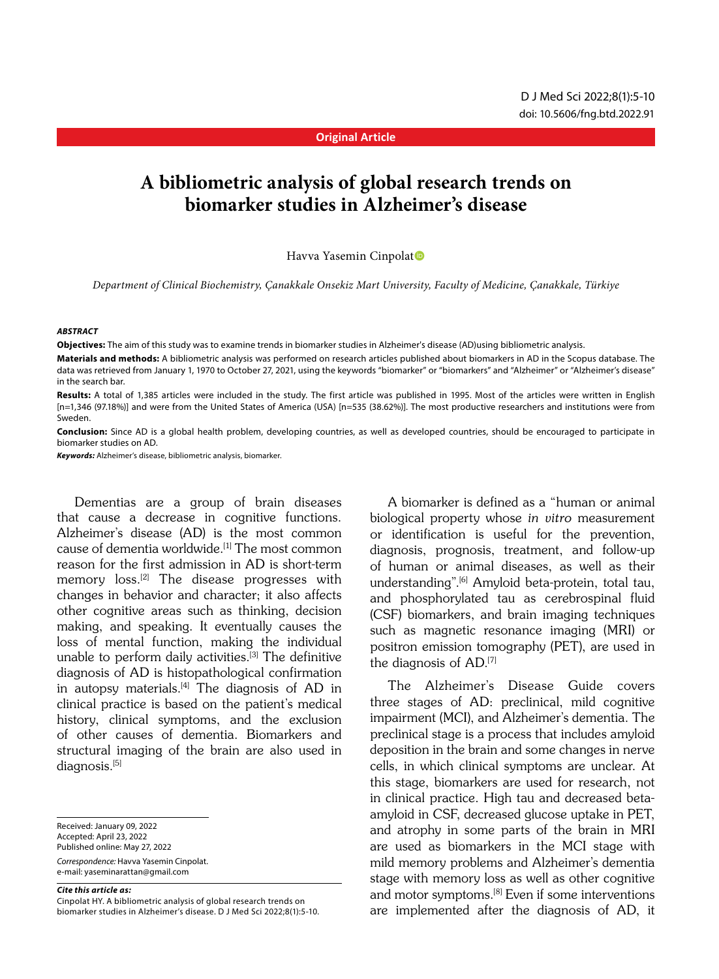#### **Original Article**

# **A bibliometric analysis of global research trends on biomarker studies in Alzheimer's disease**

Havva Yasemin Cinpolat<sup>®</sup>

*Department of Clinical Biochemistry, Çanakkale Onsekiz Mart University, Faculty of Medicine, Çanakkale, Türkiye*

#### *ABSTRACT*

**Objectives:** The aim of this study was to examine trends in biomarker studies in Alzheimer's disease (AD)using bibliometric analysis.

**Materials and methods:** A bibliometric analysis was performed on research articles published about biomarkers in AD in the Scopus database. The data was retrieved from January 1, 1970 to October 27, 2021, using the keywords "biomarker" or "biomarkers" and "Alzheimer" or "Alzheimer's disease" in the search bar.

**Results:** A total of 1,385 articles were included in the study. The first article was published in 1995. Most of the articles were written in English [n=1,346 (97.18%)] and were from the United States of America (USA) [n=535 (38.62%)]. The most productive researchers and institutions were from Sweden.

**Conclusion:** Since AD is a global health problem, developing countries, as well as developed countries, should be encouraged to participate in biomarker studies on AD.

*Keywords:* Alzheimer's disease, bibliometric analysis, biomarker.

Dementias are a group of brain diseases that cause a decrease in cognitive functions. Alzheimer's disease (AD) is the most common cause of dementia worldwide.<sup>[1]</sup> The most common reason for the first admission in AD is short-term memory loss.[2] The disease progresses with changes in behavior and character; it also affects other cognitive areas such as thinking, decision making, and speaking. It eventually causes the loss of mental function, making the individual unable to perform daily activities.[3] The definitive diagnosis of AD is histopathological confirmation in autopsy materials.<sup>[4]</sup> The diagnosis of AD in clinical practice is based on the patient's medical history, clinical symptoms, and the exclusion of other causes of dementia. Biomarkers and structural imaging of the brain are also used in diagnosis.<sup>[5]</sup>

Received: January 09, 2022 Accepted: April 23, 2022 Published online: May 27, 2022 *Correspondence:* Havva Yasemin Cinpolat. e-mail: yaseminarattan@gmail.com

#### *Cite this article as:*

Cinpolat HY. A bibliometric analysis of global research trends on biomarker studies in Alzheimer's disease. D J Med Sci 2022;8(1):5-10.

A biomarker is defined as a "human or animal biological property whose in vitro measurement or identification is useful for the prevention, diagnosis, prognosis, treatment, and follow-up of human or animal diseases, as well as their understanding".[6] Amyloid beta-protein, total tau, and phosphorylated tau as cerebrospinal fluid (CSF) biomarkers, and brain imaging techniques such as magnetic resonance imaging (MRI) or positron emission tomography (PET), are used in the diagnosis of AD.[7]

The Alzheimer's Disease Guide covers three stages of AD: preclinical, mild cognitive impairment (MCI), and Alzheimer's dementia. The preclinical stage is a process that includes amyloid deposition in the brain and some changes in nerve cells, in which clinical symptoms are unclear. At this stage, biomarkers are used for research, not in clinical practice. High tau and decreased betaamyloid in CSF, decreased glucose uptake in PET, and atrophy in some parts of the brain in MRI are used as biomarkers in the MCI stage with mild memory problems and Alzheimer's dementia stage with memory loss as well as other cognitive and motor symptoms.<sup>[8]</sup> Even if some interventions are implemented after the diagnosis of AD, it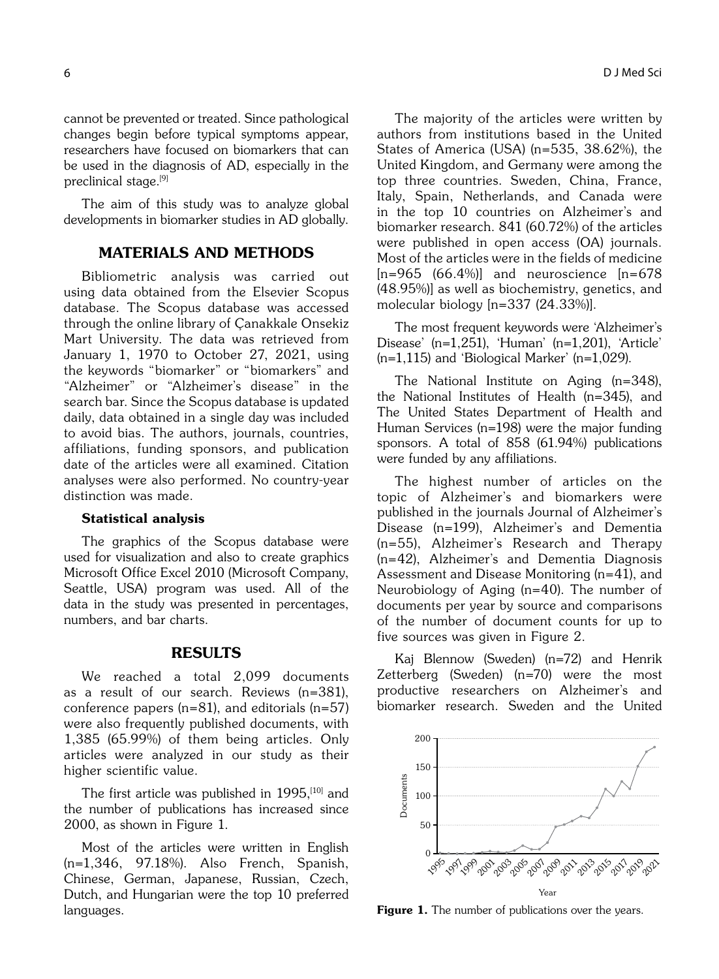cannot be prevented or treated. Since pathological changes begin before typical symptoms appear, researchers have focused on biomarkers that can be used in the diagnosis of AD, especially in the preclinical stage.[9]

The aim of this study was to analyze global developments in biomarker studies in AD globally.

# MATERIALS AND METHODS

Bibliometric analysis was carried out using data obtained from the Elsevier Scopus database. The Scopus database was accessed through the online library of Çanakkale Onsekiz Mart University. The data was retrieved from January 1, 1970 to October 27, 2021, using the keywords "biomarker" or "biomarkers" and "Alzheimer" or "Alzheimer's disease" in the search bar. Since the Scopus database is updated daily, data obtained in a single day was included to avoid bias. The authors, journals, countries, affiliations, funding sponsors, and publication date of the articles were all examined. Citation analyses were also performed. No country-year distinction was made.

#### Statistical analysis

The graphics of the Scopus database were used for visualization and also to create graphics Microsoft Office Excel 2010 (Microsoft Company, Seattle, USA) program was used. All of the data in the study was presented in percentages, numbers, and bar charts.

## RESULTS

We reached a total 2,099 documents as a result of our search. Reviews (n=381), conference papers (n=81), and editorials (n=57) were also frequently published documents, with 1,385 (65.99%) of them being articles. Only articles were analyzed in our study as their higher scientific value.

The first article was published in 1995,<sup>[10]</sup> and the number of publications has increased since 2000, as shown in Figure 1.

Most of the articles were written in English (n=1,346, 97.18%). Also French, Spanish, Chinese, German, Japanese, Russian, Czech, Dutch, and Hungarian were the top 10 preferred languages.

The majority of the articles were written by authors from institutions based in the United States of America (USA) (n=535, 38.62%), the United Kingdom, and Germany were among the top three countries. Sweden, China, France, Italy, Spain, Netherlands, and Canada were in the top 10 countries on Alzheimer's and biomarker research. 841 (60.72%) of the articles were published in open access (OA) journals. Most of the articles were in the fields of medicine  $[n=965 \ (66.4\%)$ ] and neuroscience  $[n=678]$ (48.95%)] as well as biochemistry, genetics, and molecular biology [n=337 (24.33%)].

The most frequent keywords were 'Alzheimer's Disease' (n=1,251), 'Human' (n=1,201), 'Article' (n=1,115) and 'Biological Marker' (n=1,029).

The National Institute on Aging (n=348), the National Institutes of Health (n=345), and The United States Department of Health and Human Services (n=198) were the major funding sponsors. A total of 858 (61.94%) publications were funded by any affiliations.

The highest number of articles on the topic of Alzheimer's and biomarkers were published in the journals Journal of Alzheimer's Disease (n=199), Alzheimer's and Dementia (n=55), Alzheimer's Research and Therapy (n=42), Alzheimer's and Dementia Diagnosis Assessment and Disease Monitoring (n=41), and Neurobiology of Aging (n=40). The number of documents per year by source and comparisons of the number of document counts for up to five sources was given in Figure 2.

Kaj Blennow (Sweden) (n=72) and Henrik Zetterberg (Sweden) (n=70) were the most productive researchers on Alzheimer's and biomarker research. Sweden and the United



Figure 1. The number of publications over the years.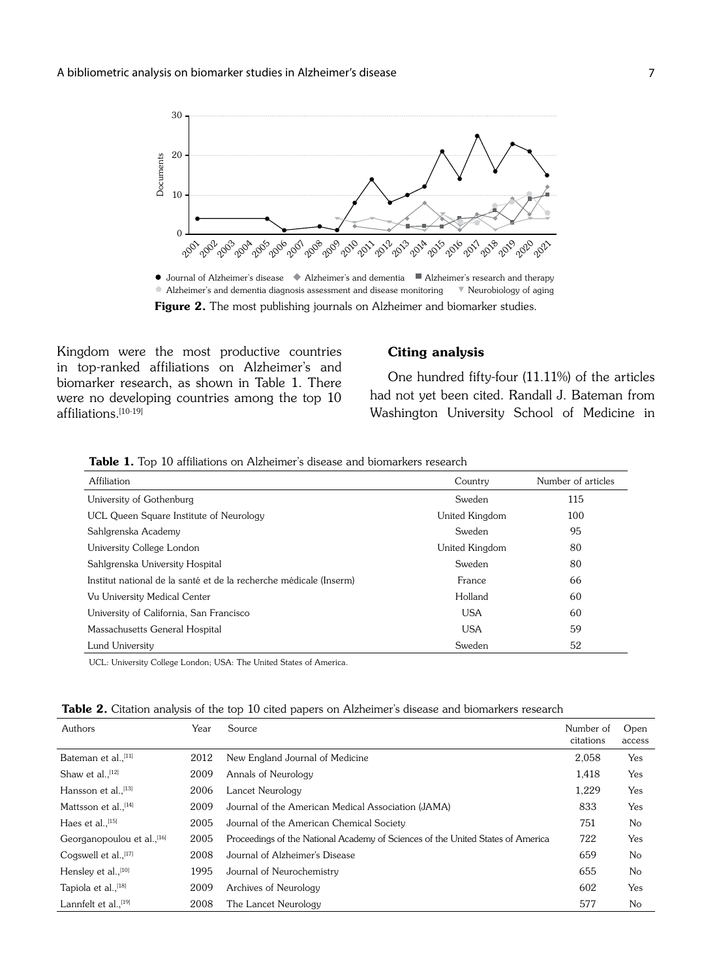

Figure 2. The most publishing journals on Alzheimer and biomarker studies. • Alzheimer's and dementia diagnosis assessment and disease monitoring v Neurobiology of aging

Kingdom were the most productive countries in top-ranked affiliations on Alzheimer's and biomarker research, as shown in Table 1. There were no developing countries among the top 10 affiliations.[10-19]

#### Citing analysis

One hundred fifty-four (11.11%) of the articles had not yet been cited. Randall J. Bateman from Washington University School of Medicine in

|  |  |  |  | <b>Table 1.</b> Top 10 affiliations on Alzheimer's disease and biomarkers research |  |
|--|--|--|--|------------------------------------------------------------------------------------|--|
|--|--|--|--|------------------------------------------------------------------------------------|--|

| Affiliation                                                        | Country        | Number of articles |
|--------------------------------------------------------------------|----------------|--------------------|
| University of Gothenburg                                           | Sweden         | 115                |
| UCL Queen Square Institute of Neurology                            | United Kingdom | 100                |
| Sahlgrenska Academy                                                | Sweden         | 95                 |
| University College London                                          | United Kingdom | 80                 |
| Sahlgrenska University Hospital                                    | Sweden         | 80                 |
| Institut national de la santé et de la recherche médicale (Inserm) | France         | 66                 |
| Vu University Medical Center                                       | Holland        | 60                 |
| University of California, San Francisco                            | <b>USA</b>     | 60                 |
| Massachusetts General Hospital                                     | <b>USA</b>     | 59                 |
| Lund University                                                    | Sweden         | 52                 |

UCL: University College London; USA: The United States of America.

|  |  |  |  |  |  | <b>Table 2.</b> Citation analysis of the top 10 cited papers on Alzheimer's disease and biomarkers research |  |  |  |  |  |
|--|--|--|--|--|--|-------------------------------------------------------------------------------------------------------------|--|--|--|--|--|
|--|--|--|--|--|--|-------------------------------------------------------------------------------------------------------------|--|--|--|--|--|

| Authors                                | Year | Source                                                                          | Number of<br>citations | Open<br>access |
|----------------------------------------|------|---------------------------------------------------------------------------------|------------------------|----------------|
| Bateman et al., <sup>[11]</sup>        | 2012 | New England Journal of Medicine                                                 | 2,058                  | Yes            |
| Shaw et al., $[12]$                    | 2009 | Annals of Neurology                                                             | 1.418                  | Yes            |
| Hansson et al., [13]                   | 2006 | Lancet Neurology                                                                | 1.229                  | Yes            |
| Mattsson et al., [14]                  | 2009 | Journal of the American Medical Association (JAMA)                              | 833                    | Yes            |
| Haes et al., $[15]$                    | 2005 | Journal of the American Chemical Society                                        | 751                    | No             |
| Georganopoulou et al., <sup>[16]</sup> | 2005 | Proceedings of the National Academy of Sciences of the United States of America | 722                    | Yes            |
| Cogswell et al., <sup>[17]</sup>       | 2008 | Journal of Alzheimer's Disease                                                  | 659                    | No             |
| Hensley et al., [10]                   | 1995 | Journal of Neurochemistry                                                       | 655                    | No             |
| Tapiola et al., [18]                   | 2009 | Archives of Neurology                                                           | 602                    | Yes            |
| Lannfelt et al., <sup>[19]</sup>       | 2008 | The Lancet Neurology                                                            | 577                    | No             |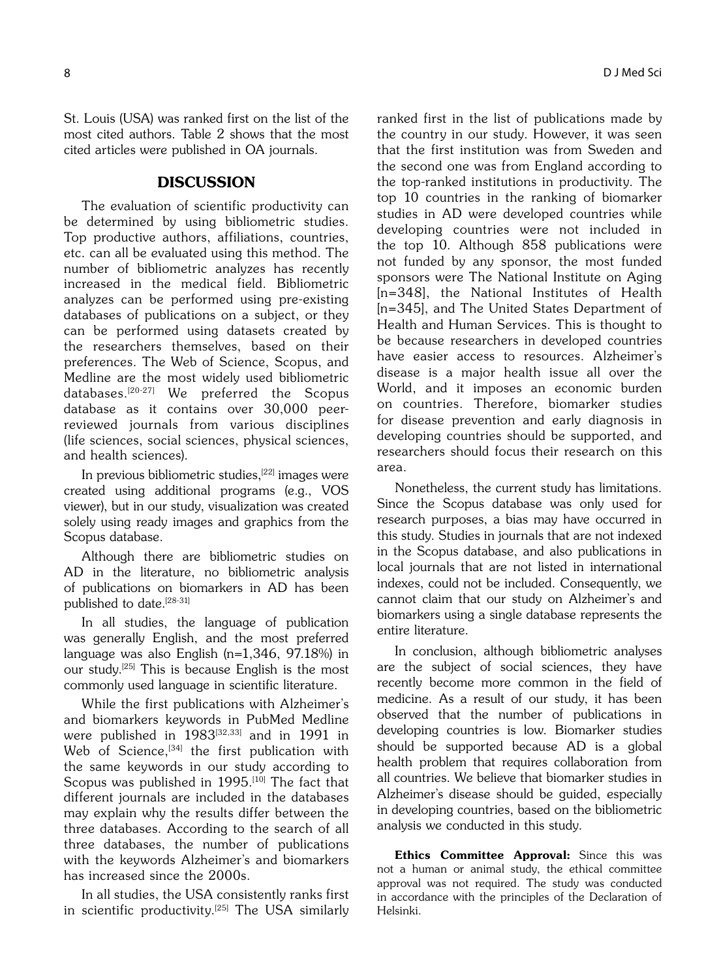St. Louis (USA) was ranked first on the list of the most cited authors. Table 2 shows that the most cited articles were published in OA journals.

### **DISCUSSION**

The evaluation of scientific productivity can be determined by using bibliometric studies. Top productive authors, affiliations, countries, etc. can all be evaluated using this method. The number of bibliometric analyzes has recently increased in the medical field. Bibliometric analyzes can be performed using pre-existing databases of publications on a subject, or they can be performed using datasets created by the researchers themselves, based on their preferences. The Web of Science, Scopus, and Medline are the most widely used bibliometric databases.[20-27] We preferred the Scopus database as it contains over 30,000 peerreviewed journals from various disciplines (life sciences, social sciences, physical sciences, and health sciences).

In previous bibliometric studies,<sup>[22]</sup> images were created using additional programs (e.g., VOS viewer), but in our study, visualization was created solely using ready images and graphics from the Scopus database.

Although there are bibliometric studies on AD in the literature, no bibliometric analysis of publications on biomarkers in AD has been published to date.[28-31]

In all studies, the language of publication was generally English, and the most preferred language was also English (n=1,346, 97.18%) in our study.[25] This is because English is the most commonly used language in scientific literature.

While the first publications with Alzheimer's and biomarkers keywords in PubMed Medline were published in 1983[32,33] and in 1991 in Web of Science,<sup>[34]</sup> the first publication with the same keywords in our study according to Scopus was published in 1995.<sup>[10]</sup> The fact that different journals are included in the databases may explain why the results differ between the three databases. According to the search of all three databases, the number of publications with the keywords Alzheimer's and biomarkers has increased since the 2000s.

In all studies, the USA consistently ranks first in scientific productivity.<sup>[25]</sup> The USA similarly ranked first in the list of publications made by the country in our study. However, it was seen that the first institution was from Sweden and the second one was from England according to the top-ranked institutions in productivity. The top 10 countries in the ranking of biomarker studies in AD were developed countries while developing countries were not included in the top 10. Although 858 publications were not funded by any sponsor, the most funded sponsors were The National Institute on Aging [n=348], the National Institutes of Health [n=345], and The United States Department of Health and Human Services. This is thought to be because researchers in developed countries have easier access to resources. Alzheimer's disease is a major health issue all over the World, and it imposes an economic burden on countries. Therefore, biomarker studies for disease prevention and early diagnosis in developing countries should be supported, and researchers should focus their research on this area.

Nonetheless, the current study has limitations. Since the Scopus database was only used for research purposes, a bias may have occurred in this study. Studies in journals that are not indexed in the Scopus database, and also publications in local journals that are not listed in international indexes, could not be included. Consequently, we cannot claim that our study on Alzheimer's and biomarkers using a single database represents the entire literature.

In conclusion, although bibliometric analyses are the subject of social sciences, they have recently become more common in the field of medicine. As a result of our study, it has been observed that the number of publications in developing countries is low. Biomarker studies should be supported because AD is a global health problem that requires collaboration from all countries. We believe that biomarker studies in Alzheimer's disease should be guided, especially in developing countries, based on the bibliometric analysis we conducted in this study.

Ethics Committee Approval: Since this was not a human or animal study, the ethical committee approval was not required. The study was conducted in accordance with the principles of the Declaration of Helsinki.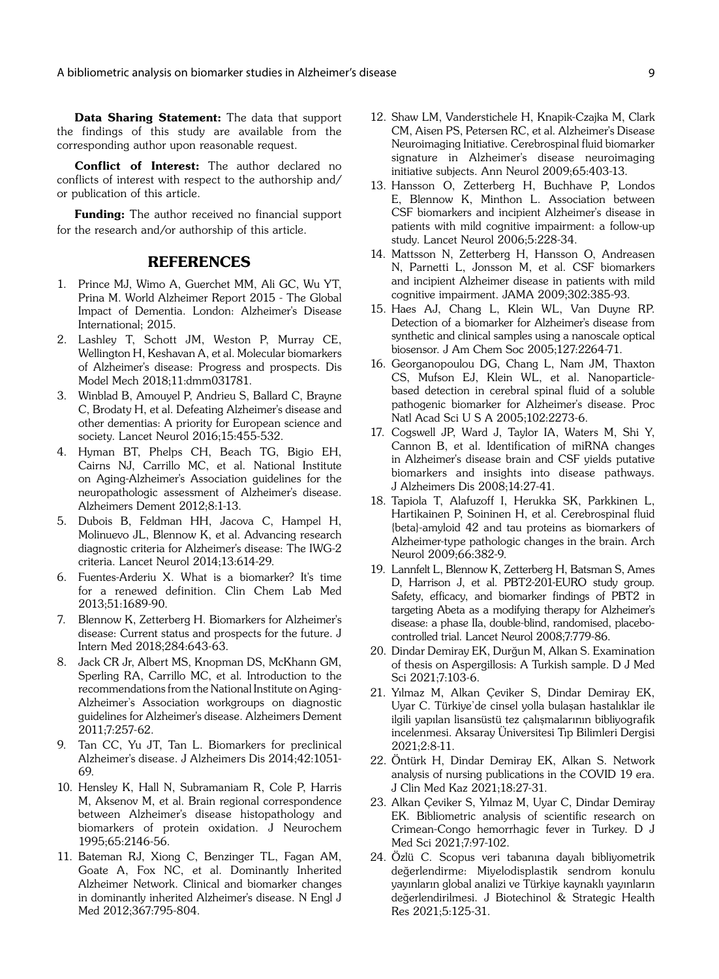Data Sharing Statement: The data that support the findings of this study are available from the corresponding author upon reasonable request.

Conflict of Interest: The author declared no conflicts of interest with respect to the authorship and/ or publication of this article.

**Funding:** The author received no financial support for the research and/or authorship of this article.

### REFERENCES

- 1. Prince MJ, Wimo A, Guerchet MM, Ali GC, Wu YT, Prina M. World Alzheimer Report 2015 - The Global Impact of Dementia. London: Alzheimer's Disease International; 2015.
- 2. Lashley T, Schott JM, Weston P, Murray CE, Wellington H, Keshavan A, et al. Molecular biomarkers of Alzheimer's disease: Progress and prospects. Dis Model Mech 2018;11:dmm031781.
- 3. Winblad B, Amouyel P, Andrieu S, Ballard C, Brayne C, Brodaty H, et al. Defeating Alzheimer's disease and other dementias: A priority for European science and society. Lancet Neurol 2016;15:455-532.
- 4. Hyman BT, Phelps CH, Beach TG, Bigio EH, Cairns NJ, Carrillo MC, et al. National Institute on Aging-Alzheimer's Association guidelines for the neuropathologic assessment of Alzheimer's disease. Alzheimers Dement 2012;8:1-13.
- 5. Dubois B, Feldman HH, Jacova C, Hampel H, Molinuevo JL, Blennow K, et al. Advancing research diagnostic criteria for Alzheimer's disease: The IWG-2 criteria. Lancet Neurol 2014;13:614-29.
- 6. Fuentes-Arderiu X. What is a biomarker? It's time for a renewed definition. Clin Chem Lab Med 2013;51:1689-90.
- 7. Blennow K, Zetterberg H. Biomarkers for Alzheimer's disease: Current status and prospects for the future. J Intern Med 2018;284:643-63.
- 8. Jack CR Jr, Albert MS, Knopman DS, McKhann GM, Sperling RA, Carrillo MC, et al. Introduction to the recommendations from the National Institute on Aging-Alzheimer's Association workgroups on diagnostic guidelines for Alzheimer's disease. Alzheimers Dement 2011;7:257-62.
- 9. Tan CC, Yu JT, Tan L. Biomarkers for preclinical Alzheimer's disease. J Alzheimers Dis 2014;42:1051- 69.
- 10. Hensley K, Hall N, Subramaniam R, Cole P, Harris M, Aksenov M, et al. Brain regional correspondence between Alzheimer's disease histopathology and biomarkers of protein oxidation. J Neurochem 1995;65:2146-56.
- 11. Bateman RJ, Xiong C, Benzinger TL, Fagan AM, Goate A, Fox NC, et al. Dominantly Inherited Alzheimer Network. Clinical and biomarker changes in dominantly inherited Alzheimer's disease. N Engl J Med 2012;367:795-804.
- 12. Shaw LM, Vanderstichele H, Knapik-Czajka M, Clark CM, Aisen PS, Petersen RC, et al. Alzheimer's Disease Neuroimaging Initiative. Cerebrospinal fluid biomarker signature in Alzheimer's disease neuroimaging initiative subjects. Ann Neurol 2009;65:403-13.
- 13. Hansson O, Zetterberg H, Buchhave P, Londos E, Blennow K, Minthon L. Association between CSF biomarkers and incipient Alzheimer's disease in patients with mild cognitive impairment: a follow-up study. Lancet Neurol 2006;5:228-34.
- 14. Mattsson N, Zetterberg H, Hansson O, Andreasen N, Parnetti L, Jonsson M, et al. CSF biomarkers and incipient Alzheimer disease in patients with mild cognitive impairment. JAMA 2009;302:385-93.
- 15. Haes AJ, Chang L, Klein WL, Van Duyne RP. Detection of a biomarker for Alzheimer's disease from synthetic and clinical samples using a nanoscale optical biosensor. J Am Chem Soc 2005;127:2264-71.
- 16. Georganopoulou DG, Chang L, Nam JM, Thaxton CS, Mufson EJ, Klein WL, et al. Nanoparticlebased detection in cerebral spinal fluid of a soluble pathogenic biomarker for Alzheimer's disease. Proc Natl Acad Sci U S A 2005;102:2273-6.
- 17. Cogswell JP, Ward J, Taylor IA, Waters M, Shi Y, Cannon B, et al. Identification of miRNA changes in Alzheimer's disease brain and CSF yields putative biomarkers and insights into disease pathways. J Alzheimers Dis 2008;14:27-41.
- 18. Tapiola T, Alafuzoff I, Herukka SK, Parkkinen L, Hartikainen P, Soininen H, et al. Cerebrospinal fluid {beta}-amyloid 42 and tau proteins as biomarkers of Alzheimer-type pathologic changes in the brain. Arch Neurol 2009;66:382-9.
- 19. Lannfelt L, Blennow K, Zetterberg H, Batsman S, Ames D, Harrison J, et al. PBT2-201-EURO study group. Safety, efficacy, and biomarker findings of PBT2 in targeting Abeta as a modifying therapy for Alzheimer's disease: a phase IIa, double-blind, randomised, placebocontrolled trial. Lancet Neurol 2008;7:779-86.
- 20. Dindar Demiray EK, Durğun M, Alkan S. Examination of thesis on Aspergillosis: A Turkish sample. D J Med Sci 2021;7:103-6.
- 21. Yılmaz M, Alkan Çeviker S, Dindar Demiray EK, Uyar C. Türkiye'de cinsel yolla bulaşan hastalıklar ile ilgili yapılan lisansüstü tez çalışmalarının bibliyografik incelenmesi. Aksaray Üniversitesi Tıp Bilimleri Dergisi 2021;2:8-11.
- 22. Öntürk H, Dindar Demiray EK, Alkan S. Network analysis of nursing publications in the COVID 19 era. J Clin Med Kaz 2021;18:27-31.
- 23. Alkan Çeviker S, Yılmaz M, Uyar C, Dindar Demiray EK. Bibliometric analysis of scientific research on Crimean-Congo hemorrhagic fever in Turkey. D J Med Sci 2021;7:97-102.
- 24. Özlü C. Scopus veri tabanına dayalı bibliyometrik de¤erlendirme: Miyelodisplastik sendrom konulu yayınların global analizi ve Türkiye kaynaklı yayınların değerlendirilmesi. J Biotechinol & Strategic Health Res 2021;5:125-31.